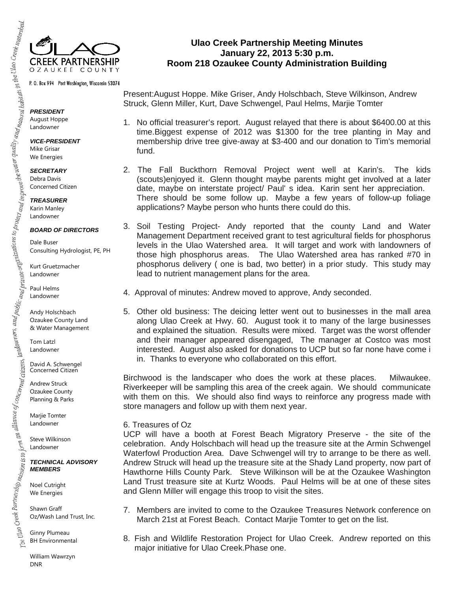

P.O. Box 994 Port Washington, Wisconsin 53074

*PRESIDENT*  August Hoppe Landowner

*VICE-PRESIDENT*  Mike Grisar We Energies

*SECRETARY*  Debra Davis Concerned Citizen

*TREASURER*  Karin Manley Landowner

## *BOARD OF DIRECTORS*

Dale Buser Consulting Hydrologist, PE, PH

Kurt Gruetzmacher Landowner

Paul Helms Landowner

Andy Holschbach Ozaukee County Land & Water Management

Tom Latzl Landowner

David A. Schwengel Concerned Citizen

Andrew Struck Ozaukee County Planning & Parks

Marjie Tomter Landowner

Steve Wilkinson Landowner

*TECHNICAL ADVISORY MEMBERS* 

Noel Cutright We Energies

Shawn Graff Oz/Wash Land Trust, Inc.

Ginny Plumeau BH Environmental

William Wawrzyn DNR

**Ulao Creek Partnership Meeting Minutes January 22, 2013 5:30 p.m. Room 218 Ozaukee County Administration Building** 

Present:August Hoppe. Mike Griser, Andy Holschbach, Steve Wilkinson, Andrew Struck, Glenn Miller, Kurt, Dave Schwengel, Paul Helms, Marjie Tomter

- 1. No official treasurer's report. August relayed that there is about \$6400.00 at this time.Biggest expense of 2012 was \$1300 for the tree planting in May and membership drive tree give-away at \$3-400 and our donation to Tim's memorial fund.
- 2. The Fall Buckthorn Removal Project went well at Karin's. The kids (scouts)enjoyed it. Glenn thought maybe parents might get involved at a later date, maybe on interstate project/ Paul' s idea. Karin sent her appreciation. There should be some follow up. Maybe a few years of follow-up foliage applications? Maybe person who hunts there could do this.
- 3. Soil Testing Project- Andy reported that the county Land and Water Management Department received grant to test agricultural fields for phosphorus levels in the Ulao Watershed area. It will target and work with landowners of those high phosphorus areas. The Ulao Watershed area has ranked #70 in phosphorus delivery ( one is bad, two better) in a prior study. This study may lead to nutrient management plans for the area.
- 4. Approval of minutes: Andrew moved to approve, Andy seconded.
- 5. Other old business: The deicing letter went out to businesses in the mall area along Ulao Creek at Hwy. 60. August took it to many of the large businesses and explained the situation. Results were mixed. Target was the worst offender and their manager appeared disengaged, The manager at Costco was most interested. August also asked for donations to UCP but so far none have come i in. Thanks to everyone who collaborated on this effort.

Birchwood is the landscaper who does the work at these places. Milwaukee. Riverkeeper will be sampling this area of the creek again. We should communicate with them on this. We should also find ways to reinforce any progress made with store managers and follow up with them next year.

## 6. Treasures of Oz

UCP will have a booth at Forest Beach Migratory Preserve - the site of the celebration. Andy Holschbach will head up the treasure site at the Armin Schwengel Waterfowl Production Area. Dave Schwengel will try to arrange to be there as well. Andrew Struck will head up the treasure site at the Shady Land property, now part of Hawthorne Hills County Park. Steve Wilkinson will be at the Ozaukee Washington Land Trust treasure site at Kurtz Woods. Paul Helms will be at one of these sites and Glenn Miller will engage this troop to visit the sites.

- 7. Members are invited to come to the Ozaukee Treasures Network conference on March 21st at Forest Beach. Contact Marjie Tomter to get on the list.
- 8. Fish and Wildlife Restoration Project for Ulao Creek. Andrew reported on this major initiative for Ulao Creek.Phase one.